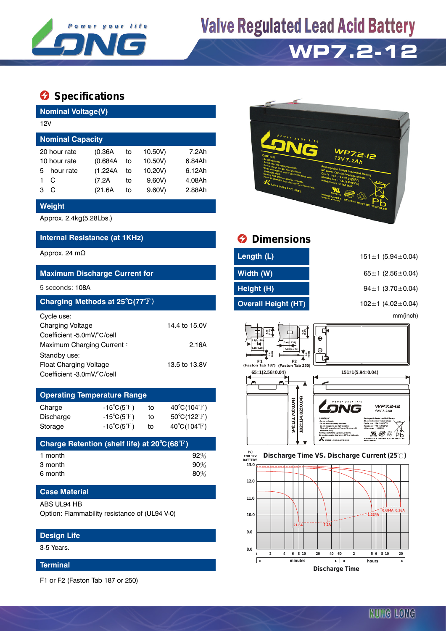

## **Valve Regulated Lead Acid Battery**



### $\bullet$  Specifications

**Nominal Voltage(V)**

|              | 12V                     |          |    |         |        |  |  |  |  |  |
|--------------|-------------------------|----------|----|---------|--------|--|--|--|--|--|
|              | <b>Nominal Capacity</b> |          |    |         |        |  |  |  |  |  |
|              | 20 hour rate            | (0.36A)  | to | 10.50V) | 7.2Ah  |  |  |  |  |  |
| 10 hour rate |                         | (0.684A) | to | 10.50V) | 6.84Ah |  |  |  |  |  |
| 5.           | hour rate               | (1.224A  | to | 10.20V) | 6.12Ah |  |  |  |  |  |
|              | C                       | (7.2A)   | to | 9.60V   | 4.08Ah |  |  |  |  |  |
| 3            | C                       | (21.6A)  | to | 9.60V   | 2.88Ah |  |  |  |  |  |
|              |                         |          |    |         |        |  |  |  |  |  |

#### **Weight**

Approx. 2.4kg(5.28Lbs.)

#### **Internal Resistance (at 1KHz)**

#### **Maximum Discharge Current for**

#### 5 seconds: 108A

| Charging Methods at 25°C(77°F) |               |
|--------------------------------|---------------|
| Cycle use:                     |               |
| <b>Charging Voltage</b>        | 14.4 to 15.0V |
| Coefficient -5.0mV/°C/cell     |               |
| Maximum Charging Current:      | 2.16A         |
| Standby use:                   |               |
| <b>Float Charging Voltage</b>  | 13.5 to 13.8V |
| Coefficient -3.0mV/°C/cell     |               |

| <b>Operating Temperature Range</b> |                            |    |                                  |  |  |  |  |
|------------------------------------|----------------------------|----|----------------------------------|--|--|--|--|
| Charge                             | $-15^{\circ}C(5^{\circ}F)$ | to | $40^{\circ}C(104^{\circ}F)$      |  |  |  |  |
| Discharge                          | $-15^{\circ}C(5^{\circ}F)$ | to | $50^{\circ}$ C(122 $^{\circ}$ F) |  |  |  |  |
| Storage                            | $-15^{\circ}C(5^{\circ}F)$ | to | $40^{\circ}C(104^{\circ}F)$      |  |  |  |  |

| Charge Retention (shelf life) at 20°C(68°F) |        |
|---------------------------------------------|--------|
| 1 month                                     | 92%    |
| 3 month                                     | $90\%$ |
| 6 month                                     | 80%    |

#### **Case Material**

#### ABS UL94 HB

Option: Flammability resistance of (UL94 V-0)

#### **Design Life**

3-5 Years.

#### **Terminal**

F1 or F2 (Faston Tab 187 or 250)



|                                  | <b>Dimensions</b>                                                                                                                                                                                                                                                                                                                  |                                                                                                                                                                                                                                                                                                                                                                                                                                                                          |  |  |  |
|----------------------------------|------------------------------------------------------------------------------------------------------------------------------------------------------------------------------------------------------------------------------------------------------------------------------------------------------------------------------------|--------------------------------------------------------------------------------------------------------------------------------------------------------------------------------------------------------------------------------------------------------------------------------------------------------------------------------------------------------------------------------------------------------------------------------------------------------------------------|--|--|--|
|                                  | Length (L)                                                                                                                                                                                                                                                                                                                         | $151 \pm 1$ (5.94 ± 0.04)                                                                                                                                                                                                                                                                                                                                                                                                                                                |  |  |  |
|                                  | Width (W)                                                                                                                                                                                                                                                                                                                          | 65 ± 1 $(2.56 \pm 0.04)$                                                                                                                                                                                                                                                                                                                                                                                                                                                 |  |  |  |
|                                  | Height (H)                                                                                                                                                                                                                                                                                                                         | $94 \pm 1$ (3.70 $\pm$ 0.04)                                                                                                                                                                                                                                                                                                                                                                                                                                             |  |  |  |
|                                  | <b>Overall Height (HT)</b>                                                                                                                                                                                                                                                                                                         | 102 $\pm$ 1 (4.02 $\pm$ 0.04)                                                                                                                                                                                                                                                                                                                                                                                                                                            |  |  |  |
|                                  |                                                                                                                                                                                                                                                                                                                                    | mm(inch)                                                                                                                                                                                                                                                                                                                                                                                                                                                                 |  |  |  |
| 14.4 to 15.0V<br>2.16A           | $6.35$<br>$(0.25)$<br>475<br>◫<br>3.2(0.12)<br>3.4(0.134)<br>6.35(0.25<br>7.95(0.313                                                                                                                                                                                                                                               | $\oplus$<br>Θ                                                                                                                                                                                                                                                                                                                                                                                                                                                            |  |  |  |
| 13.5 to 13.8V                    | F <sub>2</sub><br>(Faston Tab 187) (Faston Tab 250)<br>65±1(2.56±0.04)                                                                                                                                                                                                                                                             | 151±1(5.94±0.04)                                                                                                                                                                                                                                                                                                                                                                                                                                                         |  |  |  |
|                                  |                                                                                                                                                                                                                                                                                                                                    |                                                                                                                                                                                                                                                                                                                                                                                                                                                                          |  |  |  |
| $40^{\circ}C(104^{\circ}F)$      |                                                                                                                                                                                                                                                                                                                                    | WP7.2-I2<br>12V 7.2Ah                                                                                                                                                                                                                                                                                                                                                                                                                                                    |  |  |  |
| $50^{\circ}$ C(122 $^{\circ}$ F) |                                                                                                                                                                                                                                                                                                                                    | CAUTION<br>Rechargestée Seafed Lead-Acid Butter<br>DC assess. Constant voltage chi<br>- Do cal inclased                                                                                                                                                                                                                                                                                                                                                                  |  |  |  |
| 40°C(104°F)                      | l§                                                                                                                                                                                                                                                                                                                                 | Cycle ase: 14.4-15.01/25°C)<br>- Do not short the bettery terminals<br>Do not charge in a gas tight containad<br>Standby rose : 13 & 13 AV/35°CL<br>- Flood with water at once if contact is reade with<br><b>NAME AND POST OFFICE AREA</b><br>chonte (Acid<br>Warnise: Risk of fire, explosion, or burns<br>Рb<br>Do not diseasecrate, heat above 60°C, or incleared<br><b>MM1058</b><br>NONSPILLABLE BATTERY NUST BE RECYCLE<br>KUNG LONG BATTERIES<br>Made in Vietnas |  |  |  |
|                                  | $\mathbf{a}$ $\mathbf{a}$ $\mathbf{a}$ $\mathbf{a}$ $\mathbf{a}$ $\mathbf{a}$ $\mathbf{a}$ $\mathbf{a}$ $\mathbf{a}$ $\mathbf{a}$ $\mathbf{a}$ $\mathbf{a}$ $\mathbf{a}$ $\mathbf{a}$ $\mathbf{a}$ $\mathbf{a}$ $\mathbf{a}$ $\mathbf{a}$ $\mathbf{a}$ $\mathbf{a}$ $\mathbf{a}$ $\mathbf{a}$ $\mathbf{a}$ $\mathbf{a}$ $\mathbf{$ | $+1(4.02 + 0.04)$<br>$94\pm$ 1 (3.70 $\pm$ 0.04)                                                                                                                                                                                                                                                                                                                                                                                                                         |  |  |  |



**Discharge Time**